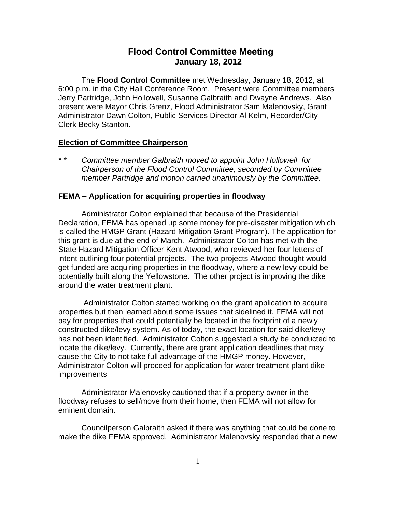# **Flood Control Committee Meeting January 18, 2012**

The **Flood Control Committee** met Wednesday, January 18, 2012, at 6:00 p.m. in the City Hall Conference Room. Present were Committee members Jerry Partridge, John Hollowell, Susanne Galbraith and Dwayne Andrews. Also present were Mayor Chris Grenz, Flood Administrator Sam Malenovsky, Grant Administrator Dawn Colton, Public Services Director Al Kelm, Recorder/City Clerk Becky Stanton.

## **Election of Committee Chairperson**

*\* \* Committee member Galbraith moved to appoint John Hollowell for Chairperson of the Flood Control Committee, seconded by Committee member Partridge and motion carried unanimously by the Committee.* 

#### **FEMA – Application for acquiring properties in floodway**

Administrator Colton explained that because of the Presidential Declaration, FEMA has opened up some money for pre-disaster mitigation which is called the HMGP Grant (Hazard Mitigation Grant Program). The application for this grant is due at the end of March. Administrator Colton has met with the State Hazard Mitigation Officer Kent Atwood, who reviewed her four letters of intent outlining four potential projects. The two projects Atwood thought would get funded are acquiring properties in the floodway, where a new levy could be potentially built along the Yellowstone. The other project is improving the dike around the water treatment plant.

Administrator Colton started working on the grant application to acquire properties but then learned about some issues that sidelined it. FEMA will not pay for properties that could potentially be located in the footprint of a newly constructed dike/levy system. As of today, the exact location for said dike/levy has not been identified. Administrator Colton suggested a study be conducted to locate the dike/levy. Currently, there are grant application deadlines that may cause the City to not take full advantage of the HMGP money. However, Administrator Colton will proceed for application for water treatment plant dike improvements

Administrator Malenovsky cautioned that if a property owner in the floodway refuses to sell/move from their home, then FEMA will not allow for eminent domain.

Councilperson Galbraith asked if there was anything that could be done to make the dike FEMA approved. Administrator Malenovsky responded that a new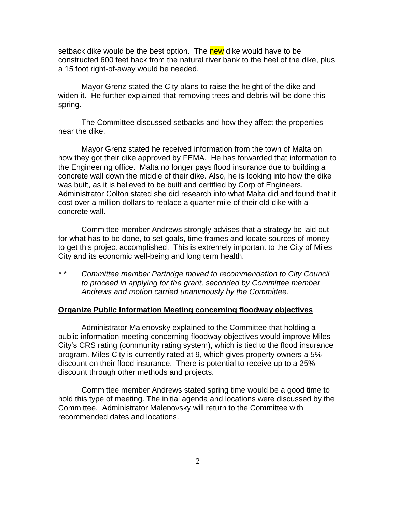setback dike would be the best option. The new dike would have to be constructed 600 feet back from the natural river bank to the heel of the dike, plus a 15 foot right-of-away would be needed.

Mayor Grenz stated the City plans to raise the height of the dike and widen it. He further explained that removing trees and debris will be done this spring.

The Committee discussed setbacks and how they affect the properties near the dike.

Mayor Grenz stated he received information from the town of Malta on how they got their dike approved by FEMA. He has forwarded that information to the Engineering office. Malta no longer pays flood insurance due to building a concrete wall down the middle of their dike. Also, he is looking into how the dike was built, as it is believed to be built and certified by Corp of Engineers. Administrator Colton stated she did research into what Malta did and found that it cost over a million dollars to replace a quarter mile of their old dike with a concrete wall.

Committee member Andrews strongly advises that a strategy be laid out for what has to be done, to set goals, time frames and locate sources of money to get this project accomplished. This is extremely important to the City of Miles City and its economic well-being and long term health.

*\* \* Committee member Partridge moved to recommendation to City Council to proceed in applying for the grant, seconded by Committee member Andrews and motion carried unanimously by the Committee.* 

## **Organize Public Information Meeting concerning floodway objectives**

Administrator Malenovsky explained to the Committee that holding a public information meeting concerning floodway objectives would improve Miles City's CRS rating (community rating system), which is tied to the flood insurance program. Miles City is currently rated at 9, which gives property owners a 5% discount on their flood insurance. There is potential to receive up to a 25% discount through other methods and projects.

Committee member Andrews stated spring time would be a good time to hold this type of meeting. The initial agenda and locations were discussed by the Committee. Administrator Malenovsky will return to the Committee with recommended dates and locations.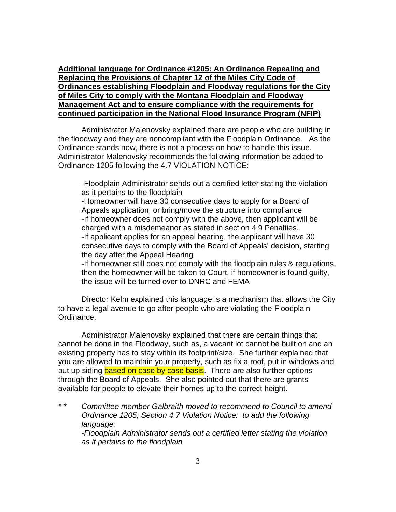**Additional language for Ordinance #1205: An Ordinance Repealing and Replacing the Provisions of Chapter 12 of the Miles City Code of Ordinances establishing Floodplain and Floodway regulations for the City of Miles City to comply with the Montana Floodplain and Floodway Management Act and to ensure compliance with the requirements for continued participation in the National Flood Insurance Program (NFIP)**

Administrator Malenovsky explained there are people who are building in the floodway and they are noncompliant with the Floodplain Ordinance. As the Ordinance stands now, there is not a process on how to handle this issue. Administrator Malenovsky recommends the following information be added to Ordinance 1205 following the 4.7 VIOLATION NOTICE:

-Floodplain Administrator sends out a certified letter stating the violation as it pertains to the floodplain

-Homeowner will have 30 consecutive days to apply for a Board of Appeals application, or bring/move the structure into compliance -If homeowner does not comply with the above, then applicant will be charged with a misdemeanor as stated in section 4.9 Penalties. -If applicant applies for an appeal hearing, the applicant will have 30 consecutive days to comply with the Board of Appeals' decision, starting the day after the Appeal Hearing

-If homeowner still does not comply with the floodplain rules & regulations, then the homeowner will be taken to Court, if homeowner is found guilty, the issue will be turned over to DNRC and FEMA

Director Kelm explained this language is a mechanism that allows the City to have a legal avenue to go after people who are violating the Floodplain Ordinance.

Administrator Malenovsky explained that there are certain things that cannot be done in the Floodway, such as, a vacant lot cannot be built on and an existing property has to stay within its footprint/size. She further explained that you are allowed to maintain your property, such as fix a roof, put in windows and put up siding based on case by case basis. There are also further options through the Board of Appeals. She also pointed out that there are grants available for people to elevate their homes up to the correct height.

*\* \* Committee member Galbraith moved to recommend to Council to amend Ordinance 1205; Section 4.7 Violation Notice: to add the following language: -Floodplain Administrator sends out a certified letter stating the violation as it pertains to the floodplain*